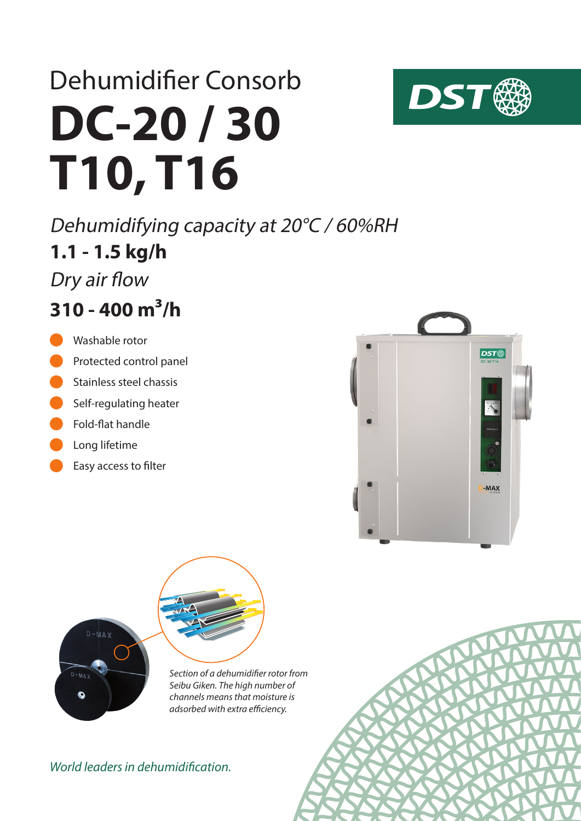# **DC-20 / 30 T10, T16** Dehumidifier Consorb

**1.1 - 1.5 kg/h** Dehumidifying capacity at 20°C / 60%RH Dry air flow

# **310 - 400 m³/h**

- Washable rotor
- Protected control panel
- Stainless steel chassis
- Self-regulating heater
- Fold-flat handle
- Long lifetime
- Easy access to filter





*Section of a dehumidifier rotor from Seibu Giken. The high number of channels means that moisture is adsorbed with extra efficiency.*

#### *World leaders in dehumidification.*